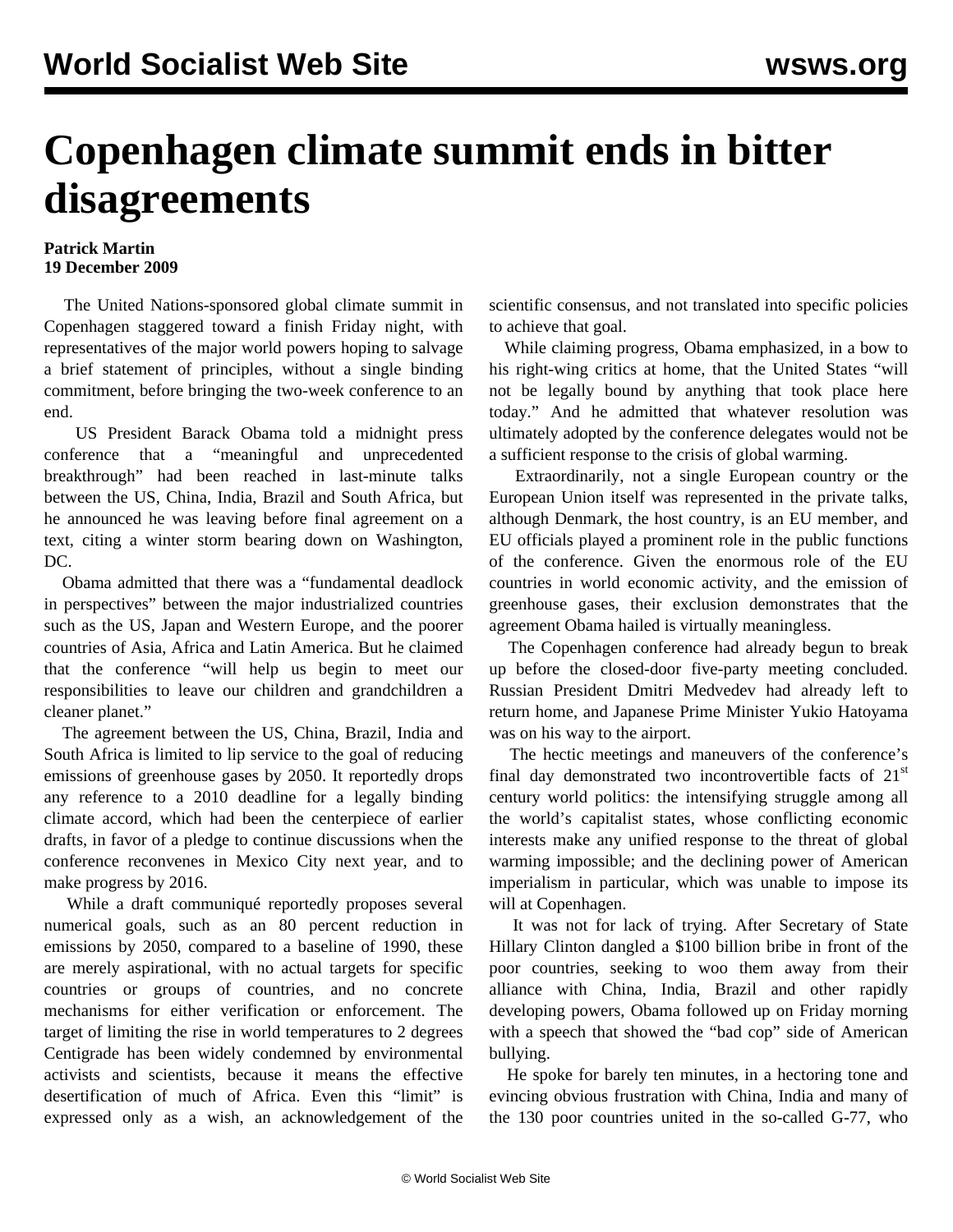## **Copenhagen climate summit ends in bitter disagreements**

## **Patrick Martin 19 December 2009**

 The United Nations-sponsored global climate summit in Copenhagen staggered toward a finish Friday night, with representatives of the major world powers hoping to salvage a brief statement of principles, without a single binding commitment, before bringing the two-week conference to an end.

 US President Barack Obama told a midnight press conference that a "meaningful and unprecedented breakthrough" had been reached in last-minute talks between the US, China, India, Brazil and South Africa, but he announced he was leaving before final agreement on a text, citing a winter storm bearing down on Washington, DC.

 Obama admitted that there was a "fundamental deadlock in perspectives" between the major industrialized countries such as the US, Japan and Western Europe, and the poorer countries of Asia, Africa and Latin America. But he claimed that the conference "will help us begin to meet our responsibilities to leave our children and grandchildren a cleaner planet."

 The agreement between the US, China, Brazil, India and South Africa is limited to lip service to the goal of reducing emissions of greenhouse gases by 2050. It reportedly drops any reference to a 2010 deadline for a legally binding climate accord, which had been the centerpiece of earlier drafts, in favor of a pledge to continue discussions when the conference reconvenes in Mexico City next year, and to make progress by 2016.

 While a draft communiqué reportedly proposes several numerical goals, such as an 80 percent reduction in emissions by 2050, compared to a baseline of 1990, these are merely aspirational, with no actual targets for specific countries or groups of countries, and no concrete mechanisms for either verification or enforcement. The target of limiting the rise in world temperatures to 2 degrees Centigrade has been widely condemned by environmental activists and scientists, because it means the effective desertification of much of Africa. Even this "limit" is expressed only as a wish, an acknowledgement of the

scientific consensus, and not translated into specific policies to achieve that goal.

 While claiming progress, Obama emphasized, in a bow to his right-wing critics at home, that the United States "will not be legally bound by anything that took place here today." And he admitted that whatever resolution was ultimately adopted by the conference delegates would not be a sufficient response to the crisis of global warming.

 Extraordinarily, not a single European country or the European Union itself was represented in the private talks, although Denmark, the host country, is an EU member, and EU officials played a prominent role in the public functions of the conference. Given the enormous role of the EU countries in world economic activity, and the emission of greenhouse gases, their exclusion demonstrates that the agreement Obama hailed is virtually meaningless.

 The Copenhagen conference had already begun to break up before the closed-door five-party meeting concluded. Russian President Dmitri Medvedev had already left to return home, and Japanese Prime Minister Yukio Hatoyama was on his way to the airport.

 The hectic meetings and maneuvers of the conference's final day demonstrated two incontrovertible facts of  $21<sup>st</sup>$ century world politics: the intensifying struggle among all the world's capitalist states, whose conflicting economic interests make any unified response to the threat of global warming impossible; and the declining power of American imperialism in particular, which was unable to impose its will at Copenhagen.

 It was not for lack of trying. After Secretary of State Hillary Clinton dangled a \$100 billion bribe in front of the poor countries, seeking to woo them away from their alliance with China, India, Brazil and other rapidly developing powers, Obama followed up on Friday morning with a speech that showed the "bad cop" side of American bullying.

 He spoke for barely ten minutes, in a hectoring tone and evincing obvious frustration with China, India and many of the 130 poor countries united in the so-called G-77, who